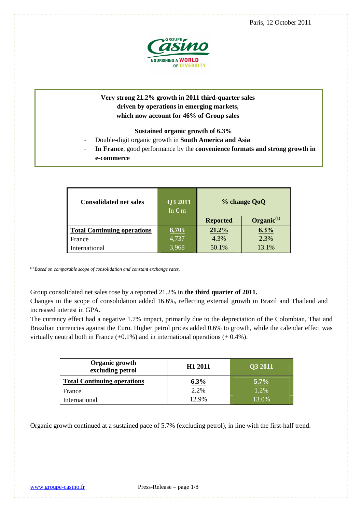

# **Very strong 21.2% growth in 2011 third-quarter sales driven by operations in emerging markets, which now account for 46% of Group sales**

# **Sustained organic growth of 6.3%**

- Double-digit organic growth in **South America and Asia**
- **In France**, good performance by the **convenience formats and strong growth in e-commerce**

| <b>Consolidated net sales</b>      | Q3 2011<br>In $\in$ m | % change QoQ    |                 |
|------------------------------------|-----------------------|-----------------|-----------------|
|                                    |                       | <b>Reported</b> | $Organic^{(1)}$ |
| <b>Total Continuing operations</b> | 8,705                 | 21.2%           | 6.3%            |
| France                             | 4,737                 | 4.3%            | 2.3%            |
| International                      | 3,968                 | 50.1%           | 13.1%           |

*(1) Based on comparable scope of consolidation and constant exchange rates.* 

Group consolidated net sales rose by a reported 21.2% in **the third quarter of 2011.**

Changes in the scope of consolidation added 16.6%, reflecting external growth in Brazil and Thailand and increased interest in GPA.

The currency effect had a negative 1.7% impact, primarily due to the depreciation of the Colombian, Thai and Brazilian currencies against the Euro. Higher petrol prices added 0.6% to growth, while the calendar effect was virtually neutral both in France  $(+0.1\%)$  and in international operations  $(+0.4\%)$ .

| Organic growth<br>excluding petrol | H <sub>1</sub> 2011 | Q3 2011 |  |  |
|------------------------------------|---------------------|---------|--|--|
| <b>Total Continuing operations</b> | $6.3\%$             | $5.7\%$ |  |  |
| France                             | 2.2%                | 1.2%    |  |  |
| International                      | 12.9%               | 13.0%   |  |  |

Organic growth continued at a sustained pace of 5.7% (excluding petrol), in line with the first-half trend.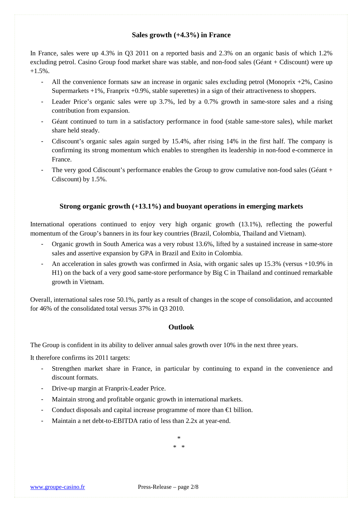# **Sales growth (+4.3%) in France**

In France, sales were up 4.3% in Q3 2011 on a reported basis and 2.3% on an organic basis of which 1.2% excluding petrol. Casino Group food market share was stable, and non-food sales (Géant + Cdiscount) were up  $+1.5\%$ .

- All the convenience formats saw an increase in organic sales excluding petrol (Monoprix +2%, Casino Supermarkets +1%, Franprix +0.9%, stable superettes) in a sign of their attractiveness to shoppers.
- Leader Price's organic sales were up 3.7%, led by a 0.7% growth in same-store sales and a rising contribution from expansion.
- Géant continued to turn in a satisfactory performance in food (stable same-store sales), while market share held steady.
- Cdiscount's organic sales again surged by 15.4%, after rising 14% in the first half. The company is confirming its strong momentum which enables to strengthen its leadership in non-food e-commerce in France.
- The very good Cdiscount's performance enables the Group to grow cumulative non-food sales (Géant + Cdiscount) by 1.5%.

# **Strong organic growth (+13.1%) and buoyant operations in emerging markets**

International operations continued to enjoy very high organic growth (13.1%), reflecting the powerful momentum of the Group's banners in its four key countries (Brazil, Colombia, Thailand and Vietnam).

- Organic growth in South America was a very robust 13.6%, lifted by a sustained increase in same-store sales and assertive expansion by GPA in Brazil and Exito in Colombia.
- An acceleration in sales growth was confirmed in Asia, with organic sales up 15.3% (versus +10.9% in H1) on the back of a very good same-store performance by Big C in Thailand and continued remarkable growth in Vietnam.

Overall, international sales rose 50.1%, partly as a result of changes in the scope of consolidation, and accounted for 46% of the consolidated total versus 37% in Q3 2010.

# **Outlook**

The Group is confident in its ability to deliver annual sales growth over 10% in the next three years.

It therefore confirms its 2011 targets:

- Strengthen market share in France, in particular by continuing to expand in the convenience and discount formats.
- Drive-up margin at Franprix-Leader Price.
- Maintain strong and profitable organic growth in international markets.
- Conduct disposals and capital increase programme of more than  $\epsilon$ 1 billion.
- Maintain a net debt-to-EBITDA ratio of less than 2.2x at year-end.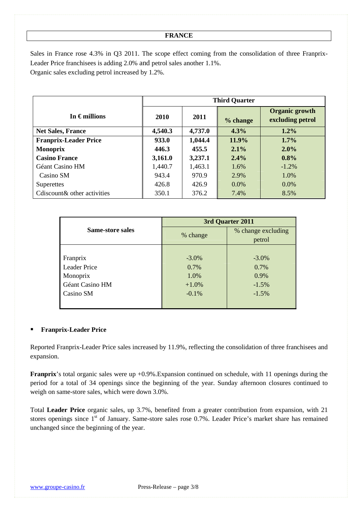# **FRANCE**

Sales in France rose 4.3% in Q3 2011. The scope effect coming from the consolidation of three Franprix-Leader Price franchisees is adding 2.0% and petrol sales another 1.1%. Organic sales excluding petrol increased by 1.2%.

|                              | <b>Third Quarter</b> |         |          |                                           |  |
|------------------------------|----------------------|---------|----------|-------------------------------------------|--|
| In $\epsilon$ millions       | 2010                 | 2011    | % change | <b>Organic growth</b><br>excluding petrol |  |
| <b>Net Sales, France</b>     | 4,540.3              | 4,737.0 | 4.3%     | $1.2\%$                                   |  |
| <b>Franprix-Leader Price</b> | 933.0                | 1,044.4 | $11.9\%$ | $1.7\%$                                   |  |
| <b>Monoprix</b>              | 446.3                | 455.5   | $2.1\%$  | $2.0\%$                                   |  |
| <b>Casino France</b>         | 3,161.0              | 3,237.1 | $2.4\%$  | 0.8%                                      |  |
| Géant Casino HM              | 1,440.7              | 1,463.1 | 1.6%     | $-1.2\%$                                  |  |
| Casino SM                    | 943.4                | 970.9   | 2.9%     | 1.0%                                      |  |
| Superettes                   | 426.8                | 426.9   | $0.0\%$  | $0.0\%$                                   |  |
| Cdiscount & other activities | 350.1                | 376.2   | 7.4%     | 8.5%                                      |  |

|                     | 3rd Quarter 2011 |                    |  |  |
|---------------------|------------------|--------------------|--|--|
| Same-store sales    | % change         | % change excluding |  |  |
|                     |                  | petrol             |  |  |
|                     |                  |                    |  |  |
| Franprix            | $-3.0\%$         | $-3.0\%$           |  |  |
| <b>Leader Price</b> | 0.7%             | 0.7%               |  |  |
| Monoprix            | 1.0%             | 0.9%               |  |  |
| Géant Casino HM     | $+1.0\%$         | $-1.5%$            |  |  |
| Casino SM           | $-0.1%$          | $-1.5%$            |  |  |
|                     |                  |                    |  |  |

# **Franprix-Leader Price**

Reported Franprix-Leader Price sales increased by 11.9%, reflecting the consolidation of three franchisees and expansion.

**Franprix**'s total organic sales were up +0.9%. Expansion continued on schedule, with 11 openings during the period for a total of 34 openings since the beginning of the year. Sunday afternoon closures continued to weigh on same-store sales, which were down 3.0%.

Total **Leader Price** organic sales, up 3.7%, benefited from a greater contribution from expansion, with 21 stores openings since 1<sup>st</sup> of January. Same-store sales rose 0.7%. Leader Price's market share has remained unchanged since the beginning of the year.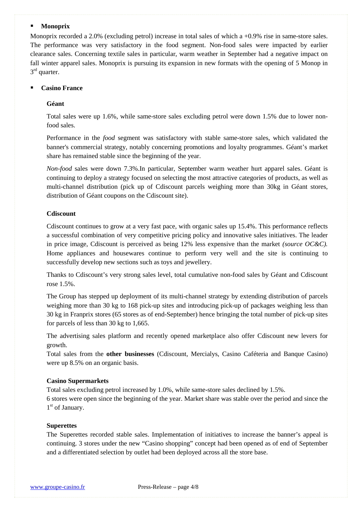# **Monoprix**

Monoprix recorded a 2.0% (excluding petrol) increase in total sales of which a +0.9% rise in same-store sales. The performance was very satisfactory in the food segment. Non-food sales were impacted by earlier clearance sales. Concerning textile sales in particular, warm weather in September had a negative impact on fall winter apparel sales. Monoprix is pursuing its expansion in new formats with the opening of 5 Monop in 3<sup>rd</sup> quarter.

## **Casino France**

# **Géant**

Total sales were up 1.6%, while same-store sales excluding petrol were down 1.5% due to lower nonfood sales.

Performance in the *food* segment was satisfactory with stable same-store sales, which validated the banner's commercial strategy, notably concerning promotions and loyalty programmes. Géant's market share has remained stable since the beginning of the year.

*Non-food* sales were down 7.3%.In particular, September warm weather hurt apparel sales. Géant is continuing to deploy a strategy focused on selecting the most attractive categories of products, as well as multi-channel distribution (pick up of Cdiscount parcels weighing more than 30kg in Géant stores, distribution of Géant coupons on the Cdiscount site).

#### **Cdiscount**

Cdiscount continues to grow at a very fast pace, with organic sales up 15.4%. This performance reflects a successful combination of very competitive pricing policy and innovative sales initiatives. The leader in price image, Cdiscount is perceived as being 12% less expensive than the market *(source OC&C).*  Home appliances and housewares continue to perform very well and the site is continuing to successfully develop new sections such as toys and jewellery.

Thanks to Cdiscount's very strong sales level, total cumulative non-food sales by Géant and Cdiscount rose 1.5%.

The Group has stepped up deployment of its multi-channel strategy by extending distribution of parcels weighing more than 30 kg to 168 pick-up sites and introducing pick-up of packages weighing less than 30 kg in Franprix stores (65 stores as of end-September) hence bringing the total number of pick-up sites for parcels of less than 30 kg to 1,665.

The advertising sales platform and recently opened marketplace also offer Cdiscount new levers for growth.

Total sales from the **other businesses** (Cdiscount, Mercialys, Casino Caféteria and Banque Casino) were up 8.5% on an organic basis.

#### **Casino Supermarkets**

Total sales excluding petrol increased by 1.0%, while same-store sales declined by 1.5%. 6 stores were open since the beginning of the year. Market share was stable over the period and since the 1<sup>st</sup> of January.

## **Superettes**

The Superettes recorded stable sales. Implementation of initiatives to increase the banner's appeal is continuing. 3 stores under the new "Casino shopping" concept had been opened as of end of September and a differentiated selection by outlet had been deployed across all the store base.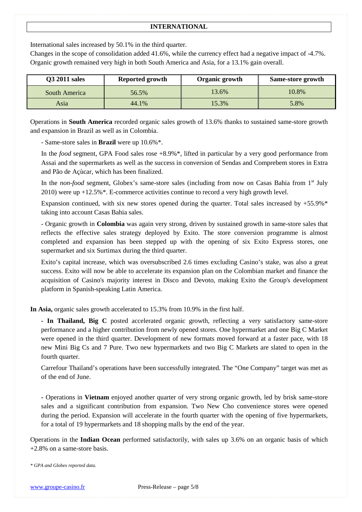# **INTERNATIONAL**

International sales increased by 50.1% in the third quarter.

Changes in the scope of consolidation added 41.6%, while the currency effect had a negative impact of -4.7%. Organic growth remained very high in both South America and Asia, for a 13.1% gain overall.

| <b>Q3 2011 sales</b> | Reported growth | Organic growth | Same-store growth |
|----------------------|-----------------|----------------|-------------------|
| South America        | 56.5%           | 13.6%          | 10.8%             |
| Asia                 | 44.1%           | 15.3%          | 5.8%              |

Operations in **South America** recorded organic sales growth of 13.6% thanks to sustained same-store growth and expansion in Brazil as well as in Colombia.

- Same-store sales in **Brazil** were up 10.6%\*.

In the *food* segment, GPA Food sales rose +8.9%\*, lifted in particular by a very good performance from Assai and the supermarkets as well as the success in conversion of Sendas and Comprebem stores in Extra and Pão de Açùcar, which has been finalized.

In the *non-food* segment, Globex's same-store sales (including from now on Casas Bahia from 1<sup>st</sup> July 2010) were up +12.5%\*. E-commerce activities continue to record a very high growth level.

Expansion continued, with six new stores opened during the quarter. Total sales increased by  $+55.9\%$ \* taking into account Casas Bahia sales.

- Organic growth in **Colombia** was again very strong, driven by sustained growth in same-store sales that reflects the effective sales strategy deployed by Exito. The store conversion programme is almost completed and expansion has been stepped up with the opening of six Exito Express stores, one supermarket and six Surtimax during the third quarter.

Exito's capital increase, which was oversubscribed 2.6 times excluding Casino's stake, was also a great success. Exito will now be able to accelerate its expansion plan on the Colombian market and finance the acquisition of Casino's majority interest in Disco and Devoto, making Exito the Group's development platform in Spanish-speaking Latin America.

**In Asia,** organic sales growth accelerated to 15.3% from 10.9% in the first half.

**- In Thailand, Big C** posted accelerated organic growth, reflecting a very satisfactory same-store performance and a higher contribution from newly opened stores. One hypermarket and one Big C Market were opened in the third quarter. Development of new formats moved forward at a faster pace, with 18 new Mini Big Cs and 7 Pure. Two new hypermarkets and two Big C Markets are slated to open in the fourth quarter.

Carrefour Thailand's operations have been successfully integrated. The "One Company" target was met as of the end of June.

**-** Operations in **Vietnam** enjoyed another quarter of very strong organic growth, led by brisk same-store sales and a significant contribution from expansion. Two New Cho convenience stores were opened during the period. Expansion will accelerate in the fourth quarter with the opening of five hypermarkets, for a total of 19 hypermarkets and 18 shopping malls by the end of the year.

Operations in the **Indian Ocean** performed satisfactorily, with sales up 3.6% on an organic basis of which +2.8% on a same-store basis.

*\* GPA and Globex reported data.*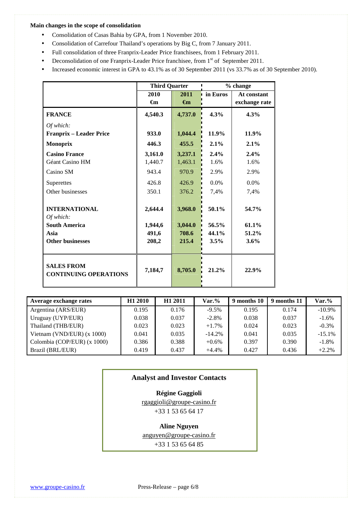#### **Main changes in the scope of consolidation**

- Consolidation of Casas Bahia by GPA, from 1 November 2010.
- Consolidation of Carrefour Thailand's operations by Big C, from 7 January 2011.
- Full consolidation of three Franprix-Leader Price franchisees, from 1 February 2011.
- Deconsolidation of one Franprix-Leader Price franchisee, from 1<sup>st</sup> of September 2011.
- Increased economic interest in GPA to 43.1% as of 30 September 2011 (vs 33.7% as of 30 September 2010).

|                                                         | <b>Third Quarter</b>        |                             |                           | % change                     |  |
|---------------------------------------------------------|-----------------------------|-----------------------------|---------------------------|------------------------------|--|
|                                                         | 2010<br>$\epsilon_{\rm m}$  | 2011<br>$\epsilon$ m        | in Euros                  | At constant<br>exchange rate |  |
| <b>FRANCE</b>                                           | 4,540.3                     | 4,737.0                     | 4.3%                      | 4.3%                         |  |
| Of which:<br><b>Franprix – Leader Price</b>             | 933.0                       | 1,044.4                     | 11.9%                     | 11.9%                        |  |
| <b>Monoprix</b>                                         | 446.3                       | 455.5                       | 2.1%                      | 2.1%                         |  |
| <b>Casino France</b><br>Géant Casino HM<br>Casino SM    | 3,161.0<br>1,440.7<br>943.4 | 3,237.1<br>1,463.1<br>970.9 | 2.4%<br>1.6%<br>2.9%      | 2.4%<br>1.6%<br>2.9%         |  |
| Superettes<br>Other businesses                          | 426.8<br>350.1              | 426.9<br>376.2              | $0.0\%$<br>7,4%           | $0.0\%$<br>7,4%              |  |
| <b>INTERNATIONAL</b><br>Of which:                       | 2,644.4                     | 3,968.0                     | $50.1\%$                  | 54.7%                        |  |
| <b>South America</b><br>Asia<br><b>Other businesses</b> | 1,944,6<br>491,6<br>208,2   | 3,044.0<br>708.6<br>215.4   | 56.5%<br>44.1%<br>$3.5\%$ | 61.1%<br>51.2%<br>$3.6\%$    |  |
| <b>SALES FROM</b><br><b>CONTINUING OPERATIONS</b>       | 7,184,7                     | 8,705.0                     | 21.2%                     | 22.9%                        |  |

| Average exchange rates       | H <sub>1</sub> 2010 | H <sub>1</sub> 2011 | $\text{Var.}\%$ | 9 months 10 | 9 months 11 | Var.%     |
|------------------------------|---------------------|---------------------|-----------------|-------------|-------------|-----------|
| Argentina (ARS/EUR)          | 0.195               | 0.176               | $-9.5%$         | 0.195       | 0.174       | $-10.9\%$ |
| Uruguay (UYP/EUR)            | 0.038               | 0.037               | $-2.8%$         | 0.038       | 0.037       | $-1.6%$   |
| Thailand (THB/EUR)           | 0.023               | 0.023               | $+1.7%$         | 0.024       | 0.023       | $-0.3\%$  |
| Vietnam (VND/EUR) $(x 1000)$ | 0.041               | 0.035               | $-14.2\%$       | 0.041       | 0.035       | $-15.1%$  |
| Colombia (COP/EUR) (x 1000)  | 0.386               | 0.388               | $+0.6%$         | 0.397       | 0.390       | $-1.8%$   |
| Brazil (BRL/EUR)             | 0.419               | 0.437               | $+4.4%$         | 0.427       | 0.436       | $+2.2%$   |

# **Analyst and Investor Contacts**

# **Régine Gaggioli**

rgaggioli@groupe-casino.fr

# +33 1 53 65 64 17

## **Aline Nguyen**

anguyen@groupe-casino.fr

+33 1 53 65 64 85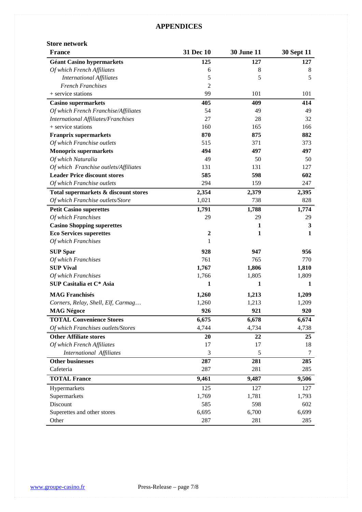# **APPENDICES**

## **Store network**

| <b>France</b>                              | 31 Dec 10        | <b>30 June 11</b> | <b>30 Sept 11</b> |
|--------------------------------------------|------------------|-------------------|-------------------|
| <b>Géant Casino hypermarkets</b>           | 125              | 127               | 127               |
| Of which French Affiliates                 | 6                | 8                 | 8                 |
| <b>International Affiliates</b>            | 5                | 5                 | 5                 |
| <b>French Franchises</b>                   | $\overline{2}$   |                   |                   |
| + service stations                         | 99               | 101               | 101               |
| <b>Casino supermarkets</b>                 | 405              | 409               | 414               |
| Of which French Franchise/Affiliates       | 54               | 49                | 49                |
| <b>International Affiliates/Franchises</b> | 27               | 28                | 32                |
| + service stations                         | 160              | 165               | 166               |
| <b>Franprix supermarkets</b>               | 870              | 875               | 882               |
| Of which Franchise outlets                 | 515              | 371               | 373               |
| <b>Monoprix supermarkets</b>               | 494              | 497               | 497               |
| Of which Naturalia                         | 49               | 50                | 50                |
| Of which Franchise outlets/Affiliates      | 131              | 131               | 127               |
| <b>Leader Price discount stores</b>        | 585              | 598               | 602               |
| Of which Franchise outlets                 | 294              | 159               | 247               |
| Total supermarkets & discount stores       | 2,354            | 2,379             | 2,395             |
| Of which Franchise outlets/Store           | 1,021            | 738               | 828               |
| <b>Petit Casino superettes</b>             | 1,791            | 1,788             | 1,774             |
| Of which Franchises                        | 29               | 29                | 29                |
| <b>Casino Shopping superettes</b>          |                  | $\mathbf{1}$      | 3                 |
| <b>Eco Services superettes</b>             | $\boldsymbol{2}$ | 1                 | 1                 |
| Of which Franchises                        | 1                |                   |                   |
| <b>SUP Spar</b>                            | 928              | 947               | 956               |
| Of which Franchises                        | 761              | 765               | 770               |
| <b>SUP Vival</b>                           | 1,767            | 1,806             | 1,810             |
| Of which Franchises                        | 1,766            | 1,805             | 1,809             |
| SUP Casitalia et C* Asia                   | 1                | 1                 | 1                 |
| <b>MAG Franchisés</b>                      | 1,260            | 1,213             | 1,209             |
| Corners, Relay, Shell, Elf, Carmag         | 1,260            | 1,213             | 1,209             |
| <b>MAG Négoce</b>                          | 926              | 921               | 920               |
| <b>TOTAL Convenience Stores</b>            | 6,675            | 6,678             | 6,674             |
| Of which Franchises outlets/Stores         | 4,744            | 4,734             | 4,738             |
| <b>Other Affiliate stores</b>              | 20               | 22                | 25                |
| Of which French Affiliates                 | 17               | 17                | 18                |
| International Affiliates                   | 3                | 5                 | 7                 |
| <b>Other businesses</b>                    | 287              | 281               | 285               |
| Cafeteria                                  | 287              | 281               | 285               |
|                                            |                  |                   |                   |
| <b>TOTAL France</b>                        | 9,461            | 9,487             | 9,506             |
| Hypermarkets                               | 125              | 127               | 127               |
| Supermarkets                               | 1,769            | 1,781             | 1,793             |
| Discount                                   | 585              | 598               | 602               |
| Superettes and other stores                | 6,695            | 6,700             | 6,699             |
| Other                                      | 287              | 281               | 285               |